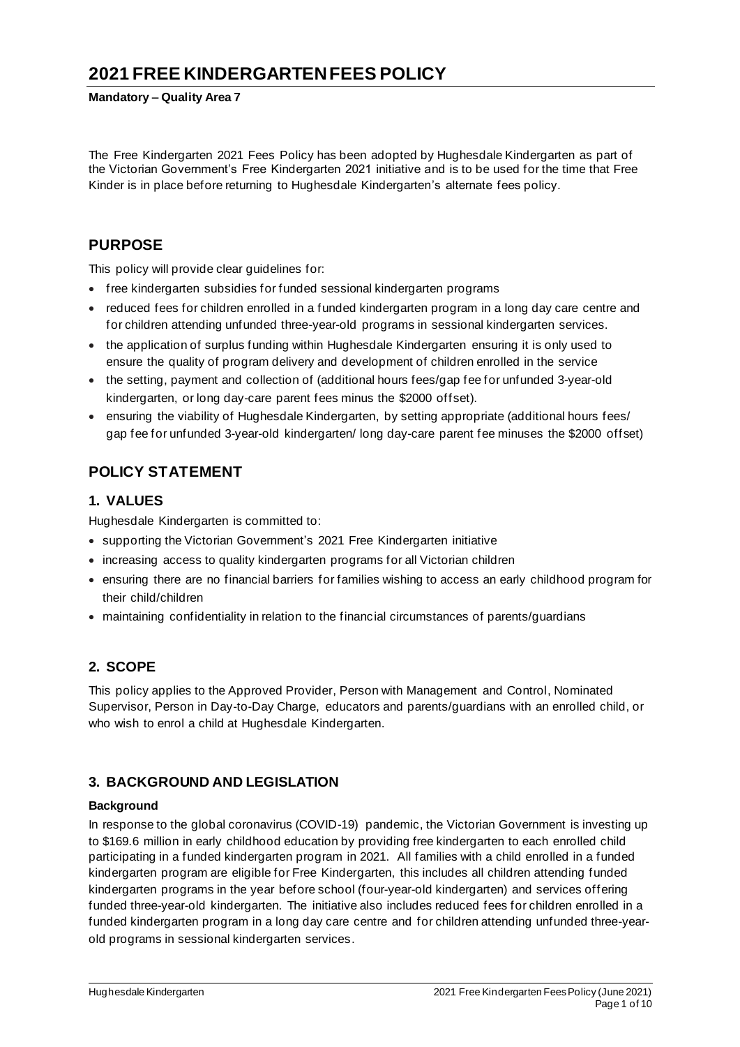# **2021 FREE KINDERGARTENFEES POLICY**

**Mandatory – Quality Area 7**

The Free Kindergarten 2021 Fees Policy has been adopted by Hughesdale Kindergarten as part of the Victorian Government's Free Kindergarten 2021 initiative and is to be used for the time that Free Kinder is in place before returning to Hughesdale Kindergarten's alternate fees policy.

## **PURPOSE**

This policy will provide clear guidelines for:

- free kindergarten subsidies for funded sessional kindergarten programs
- reduced fees for children enrolled in a funded kindergarten program in a long day care centre and for children attending unfunded three-year-old programs in sessional kindergarten services.
- the application of surplus funding within Hughesdale Kindergarten ensuring it is only used to ensure the quality of program delivery and development of children enrolled in the service
- the setting, payment and collection of (additional hours fees/gap fee for unfunded 3-year-old kindergarten, or long day-care parent fees minus the \$2000 offset).
- ensuring the viability of Hughesdale Kindergarten, by setting appropriate (additional hours fees/ gap fee for unfunded 3-year-old kindergarten/ long day-care parent fee minuses the \$2000 offset)

## **POLICY STATEMENT**

### **1. VALUES**

Hughesdale Kindergarten is committed to:

- supporting the Victorian Government's 2021 Free Kindergarten initiative
- increasing access to quality kindergarten programs for all Victorian children
- ensuring there are no financial barriers for families wishing to access an early childhood program for their child/children
- maintaining confidentiality in relation to the financial circumstances of parents/guardians

## **2. SCOPE**

This policy applies to the Approved Provider, Person with Management and Control, Nominated Supervisor, Person in Day-to-Day Charge, educators and parents/guardians with an enrolled child, or who wish to enrol a child at Hughesdale Kindergarten.

## **3. BACKGROUND AND LEGISLATION**

#### **Background**

In response to the global coronavirus (COVID-19) pandemic, the Victorian Government is investing up to \$169.6 million in early childhood education by providing free kindergarten to each enrolled child participating in a funded kindergarten program in 2021. All families with a child enrolled in a funded kindergarten program are eligible for Free Kindergarten, this includes all children attending funded kindergarten programs in the year before school (four-year-old kindergarten) and services offering funded three-year-old kindergarten. The initiative also includes reduced fees for children enrolled in a funded kindergarten program in a long day care centre and for children attending unfunded three-yearold programs in sessional kindergarten services.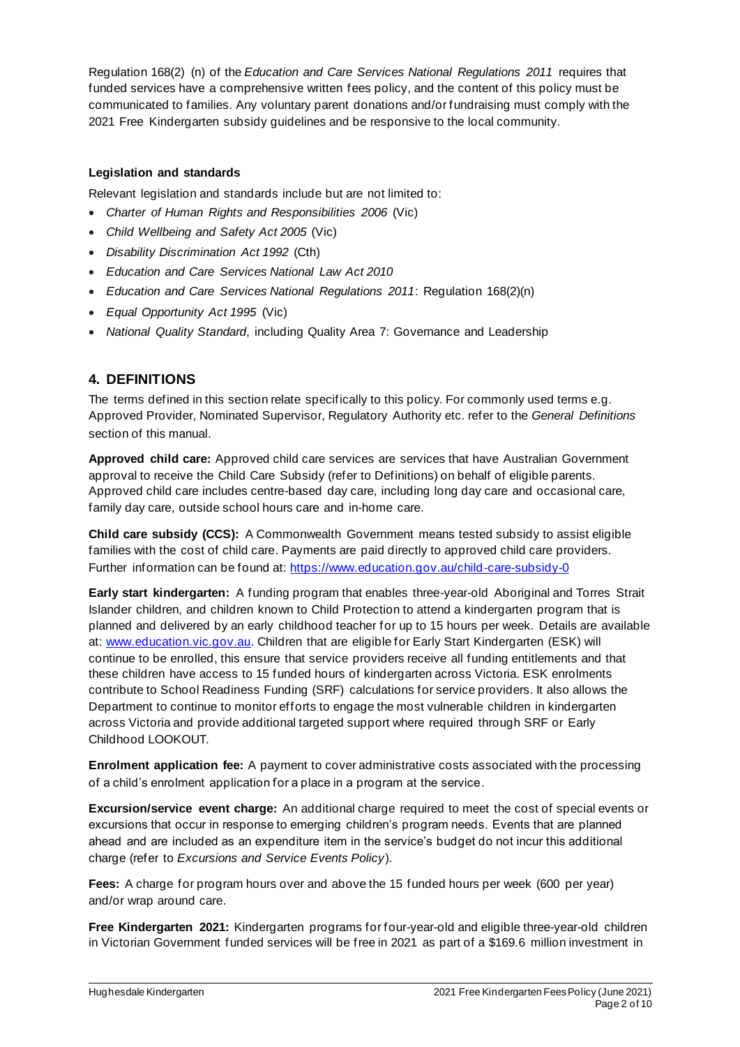Regulation 168(2) (n) of the *Education and Care Services National Regulations 2011* requires that funded services have a comprehensive written fees policy, and the content of this policy must be communicated to families. Any voluntary parent donations and/or fundraising must comply with the 2021 Free Kindergarten subsidy guidelines and be responsive to the local community.

#### **Legislation and standards**

Relevant legislation and standards include but are not limited to:

- *Charter of Human Rights and Responsibilities 2006* (Vic)
- *Child Wellbeing and Safety Act 2005* (Vic)
- *Disability Discrimination Act 1992* (Cth)
- *Education and Care Services National Law Act 2010*
- *Education and Care Services National Regulations 2011*: Regulation 168(2)(n)
- *Equal Opportunity Act 1995* (Vic)
- *National Quality Standard*, including Quality Area 7: Governance and Leadership

## **4. DEFINITIONS**

The terms defined in this section relate specifically to this policy. For commonly used terms e.g. Approved Provider, Nominated Supervisor, Regulatory Authority etc. refer to the *General Definitions* section of this manual.

**Approved child care:** Approved child care services are services that have Australian Government approval to receive the Child Care Subsidy (refer to Definitions) on behalf of eligible parents. Approved child care includes centre-based day care, including long day care and occasional care, family day care, outside school hours care and in-home care.

**Child care subsidy (CCS):** A Commonwealth Government means tested subsidy to assist eligible families with the cost of child care. Payments are paid directly to approved child care providers. Further information can be found at: https://www.education.gov.au/child-care-subsidy-0

**Early start kindergarten:** A funding program that enables three-year-old Aboriginal and Torres Strait Islander children, and children known to Child Protection to attend a kindergarten program that is planned and delivered by an early childhood teacher for up to 15 hours per week. Details are available at: www.education.vic.gov.au. Children that are eligible for Early Start Kindergarten (ESK) will continue to be enrolled, this ensure that service providers receive all funding entitlements and that these children have access to 15 funded hours of kindergarten across Victoria. ESK enrolments contribute to School Readiness Funding (SRF) calculations for service providers. It also allows the Department to continue to monitor efforts to engage the most vulnerable children in kindergarten across Victoria and provide additional targeted support where required through SRF or Early Childhood LOOKOUT.

**Enrolment application fee:** A payment to cover administrative costs associated with the processing of a child's enrolment application for a place in a program at the service.

**Excursion/service event charge:** An additional charge required to meet the cost of special events or excursions that occur in response to emerging children's program needs. Events that are planned ahead and are included as an expenditure item in the service's budget do not incur this additional charge (refer to *Excursions and Service Events Policy*).

**Fees:** A charge for program hours over and above the 15 funded hours per week (600 per year) and/or wrap around care.

**Free Kindergarten 2021:** Kindergarten programs for four-year-old and eligible three-year-old children in Victorian Government funded services will be free in 2021 as part of a \$169.6 million investment in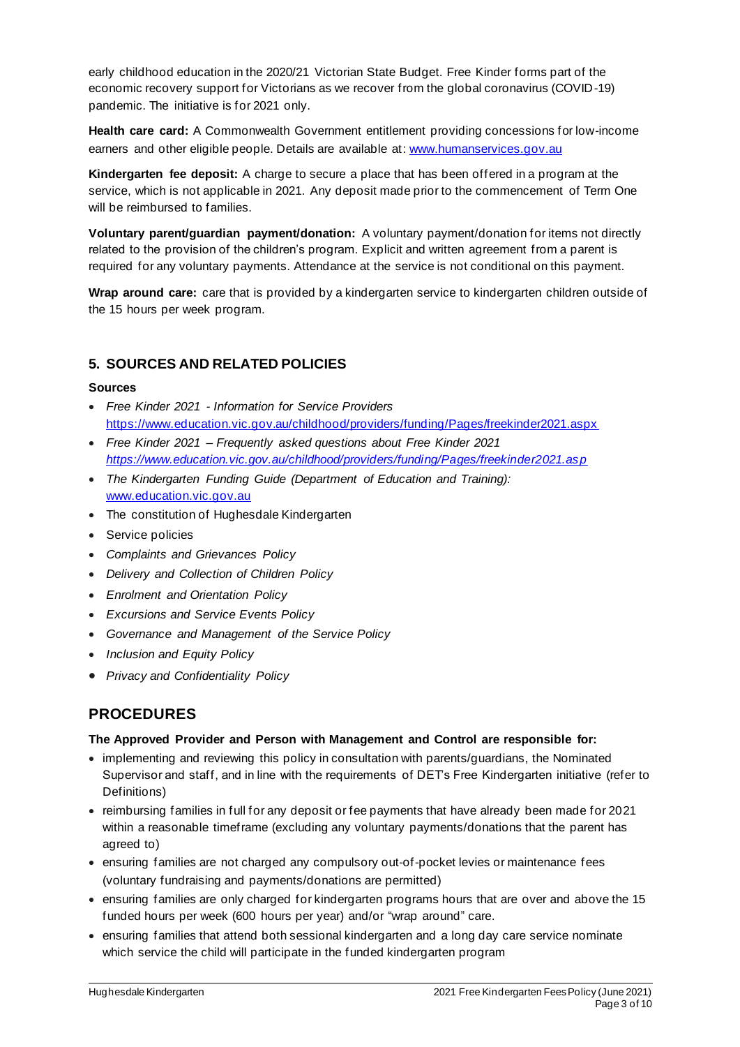early childhood education in the 2020/21 Victorian State Budget. Free Kinder forms part of the economic recovery support for Victorians as we recover from the global coronavirus (COVID-19) pandemic. The initiative is for 2021 only.

**Health care card:** A Commonwealth Government entitlement providing concessions for low-income earners and other eligible people. Details are available at: www.humanservices.gov.au

**Kindergarten fee deposit:** A charge to secure a place that has been offered in a program at the service, which is not applicable in 2021. Any deposit made prior to the commencement of Term One will be reimbursed to families.

**Voluntary parent/guardian payment/donation:** A voluntary payment/donation for items not directly related to the provision of the children's program. Explicit and written agreement from a parent is required for any voluntary payments. Attendance at the service is not conditional on this payment.

**Wrap around care:** care that is provided by a kindergarten service to kindergarten children outside of the 15 hours per week program.

### **5. SOURCES AND RELATED POLICIES**

#### **Sources**

- *Free Kinder 2021 - Information for Service Providers*  https://www.education.vic.gov.au/childhood/providers/funding/Pages/freekinder2021.aspx
- *Free Kinder 2021 – Frequently asked questions about Free Kinder 2021 https://www.education.vic.gov.au/childhood/providers/funding/Pages/freekinder2021.asp*
- *The Kindergarten Funding Guide (Department of Education and Training):* www.education.vic.gov.au
- The constitution of Hughesdale Kindergarten
- Service policies
- *Complaints and Grievances Policy*
- *Delivery and Collection of Children Policy*
- *Enrolment and Orientation Policy*
- *Excursions and Service Events Policy*
- *Governance and Management of the Service Policy*
- *Inclusion and Equity Policy*
- *Privacy and Confidentiality Policy*

## **PROCEDURES**

#### **The Approved Provider and Person with Management and Control are responsible for:**

- implementing and reviewing this policy in consultation with parents/guardians, the Nominated Supervisor and staff, and in line with the requirements of DET's Free Kindergarten initiative (refer to Definitions)
- reimbursing families in full for any deposit or fee payments that have already been made for 2021 within a reasonable timeframe (excluding any voluntary payments/donations that the parent has agreed to)
- ensuring families are not charged any compulsory out-of-pocket levies or maintenance fees (voluntary fundraising and payments/donations are permitted)
- ensuring families are only charged for kindergarten programs hours that are over and above the 15 funded hours per week (600 hours per year) and/or "wrap around" care.
- ensuring families that attend both sessional kindergarten and a long day care service nominate which service the child will participate in the funded kindergarten program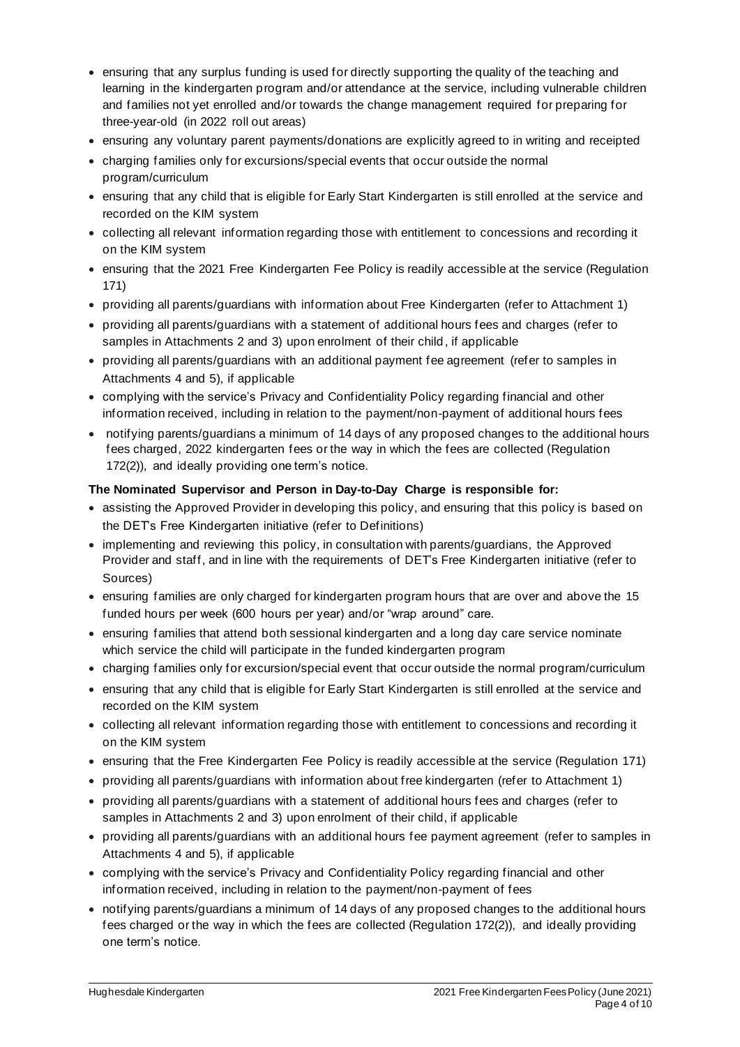- ensuring that any surplus funding is used for directly supporting the quality of the teaching and learning in the kindergarten program and/or attendance at the service, including vulnerable children and families not yet enrolled and/or towards the change management required for preparing for three-year-old (in 2022 roll out areas)
- ensuring any voluntary parent payments/donations are explicitly agreed to in writing and receipted
- charging families only for excursions/special events that occur outside the normal program/curriculum
- ensuring that any child that is eligible for Early Start Kindergarten is still enrolled at the service and recorded on the KIM system
- collecting all relevant information regarding those with entitlement to concessions and recording it on the KIM system
- ensuring that the 2021 Free Kindergarten Fee Policy is readily accessible at the service (Regulation 171)
- providing all parents/guardians with information about Free Kindergarten (refer to Attachment 1)
- providing all parents/guardians with a statement of additional hours fees and charges (refer to samples in Attachments 2 and 3) upon enrolment of their child, if applicable
- providing all parents/guardians with an additional payment fee agreement (refer to samples in Attachments 4 and 5), if applicable
- complying with the service's Privacy and Confidentiality Policy regarding financial and other information received, including in relation to the payment/non-payment of additional hours fees
- notifying parents/guardians a minimum of 14 days of any proposed changes to the additional hours fees charged, 2022 kindergarten fees or the way in which the fees are collected (Regulation 172(2)), and ideally providing one term's notice.

#### **The Nominated Supervisor and Person in Day-to-Day Charge is responsible for:**

- assisting the Approved Provider in developing this policy, and ensuring that this policy is based on the DET's Free Kindergarten initiative (refer to Definitions)
- implementing and reviewing this policy, in consultation with parents/guardians, the Approved Provider and staff, and in line with the requirements of DET's Free Kindergarten initiative (refer to Sources)
- ensuring families are only charged for kindergarten program hours that are over and above the 15 funded hours per week (600 hours per year) and/or "wrap around" care.
- ensuring families that attend both sessional kindergarten and a long day care service nominate which service the child will participate in the funded kindergarten program
- charging families only for excursion/special event that occur outside the normal program/curriculum
- ensuring that any child that is eligible for Early Start Kindergarten is still enrolled at the service and recorded on the KIM system
- collecting all relevant information regarding those with entitlement to concessions and recording it on the KIM system
- ensuring that the Free Kindergarten Fee Policy is readily accessible at the service (Regulation 171)
- providing all parents/guardians with information about free kindergarten (refer to Attachment 1)
- providing all parents/guardians with a statement of additional hours fees and charges (refer to samples in Attachments 2 and 3) upon enrolment of their child, if applicable
- providing all parents/guardians with an additional hours fee payment agreement (refer to samples in Attachments 4 and 5), if applicable
- complying with the service's Privacy and Confidentiality Policy regarding financial and other information received, including in relation to the payment/non-payment of fees
- notifying parents/guardians a minimum of 14 days of any proposed changes to the additional hours fees charged or the way in which the fees are collected (Regulation 172(2)), and ideally providing one term's notice.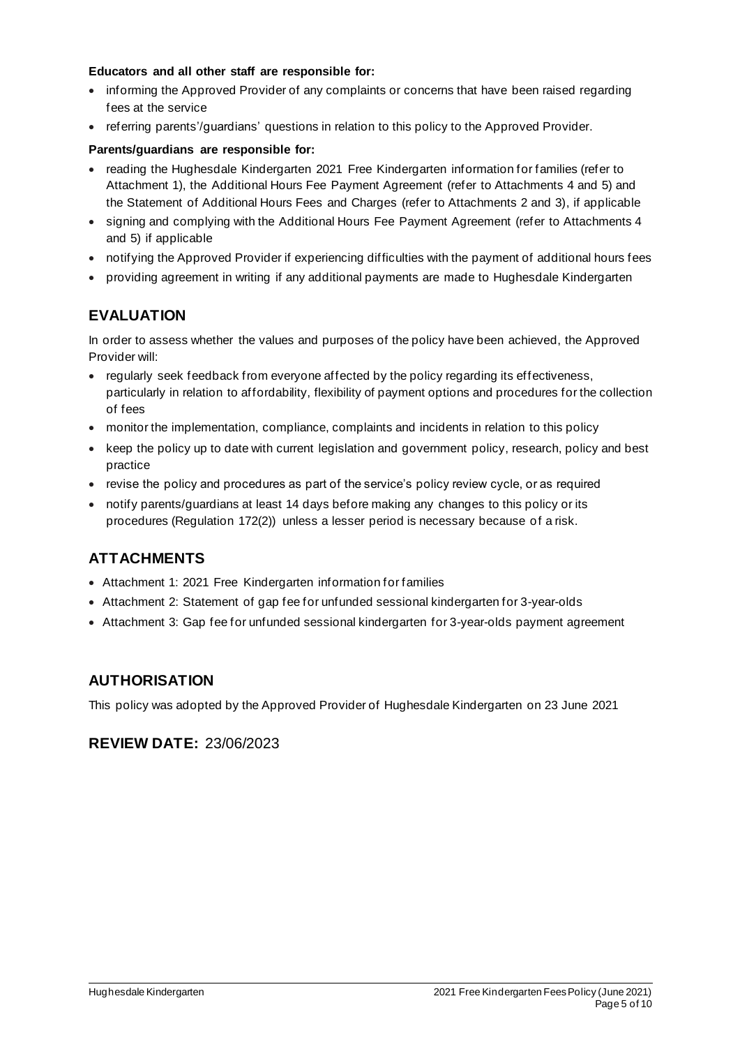#### **Educators and all other staff are responsible for:**

- informing the Approved Provider of any complaints or concerns that have been raised regarding fees at the service
- referring parents'/guardians' questions in relation to this policy to the Approved Provider.

#### **Parents/guardians are responsible for:**

- reading the Hughesdale Kindergarten 2021 Free Kindergarten information for families (refer to Attachment 1), the Additional Hours Fee Payment Agreement (refer to Attachments 4 and 5) and the Statement of Additional Hours Fees and Charges (refer to Attachments 2 and 3), if applicable
- signing and complying with the Additional Hours Fee Payment Agreement (refer to Attachments 4 and 5) if applicable
- notifying the Approved Provider if experiencing difficulties with the payment of additional hours fees
- providing agreement in writing if any additional payments are made to Hughesdale Kindergarten

## **EVALUATION**

In order to assess whether the values and purposes of the policy have been achieved, the Approved Provider will:

- regularly seek feedback from everyone affected by the policy regarding its effectiveness, particularly in relation to affordability, flexibility of payment options and procedures for the collection of fees
- monitor the implementation, compliance, complaints and incidents in relation to this policy
- keep the policy up to date with current legislation and government policy, research, policy and best practice
- revise the policy and procedures as part of the service's policy review cycle, or as required
- notify parents/guardians at least 14 days before making any changes to this policy or its procedures (Regulation 172(2)) unless a lesser period is necessary because of a risk.

## **ATTACHMENTS**

- Attachment 1: 2021 Free Kindergarten information for families
- Attachment 2: Statement of gap fee for unfunded sessional kindergarten for 3-year-olds
- Attachment 3: Gap fee for unfunded sessional kindergarten for 3-year-olds payment agreement

## **AUTHORISATION**

This policy was adopted by the Approved Provider of Hughesdale Kindergarten on 23 June 2021

## **REVIEW DATE:** 23/06/2023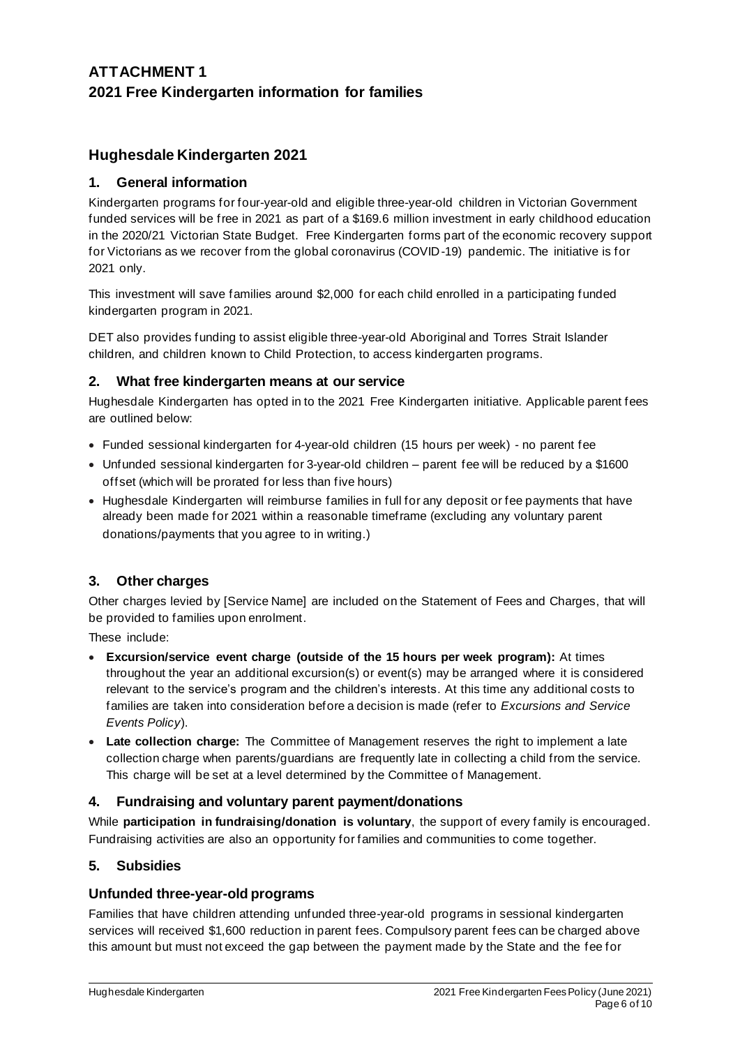## **ATTACHMENT 1 2021 Free Kindergarten information for families**

## **Hughesdale Kindergarten 2021**

### **1. General information**

Kindergarten programs for four-year-old and eligible three-year-old children in Victorian Government funded services will be free in 2021 as part of a \$169.6 million investment in early childhood education in the 2020/21 Victorian State Budget. Free Kindergarten forms part of the economic recovery support for Victorians as we recover from the global coronavirus (COVID-19) pandemic. The initiative is for 2021 only.

This investment will save families around \$2,000 for each child enrolled in a participating funded kindergarten program in 2021.

DET also provides funding to assist eligible three-year-old Aboriginal and Torres Strait Islander children, and children known to Child Protection, to access kindergarten programs.

#### **2. What free kindergarten means at our service**

Hughesdale Kindergarten has opted in to the 2021 Free Kindergarten initiative. Applicable parent fees are outlined below:

- Funded sessional kindergarten for 4-year-old children (15 hours per week) no parent fee
- Unfunded sessional kindergarten for 3-year-old children parent fee will be reduced by a \$1600 offset (which will be prorated for less than five hours)
- Hughesdale Kindergarten will reimburse families in full for any deposit or fee payments that have already been made for 2021 within a reasonable timeframe (excluding any voluntary parent donations/payments that you agree to in writing.)

## **3. Other charges**

Other charges levied by [Service Name] are included on the Statement of Fees and Charges, that will be provided to families upon enrolment.

These include:

- **Excursion/service event charge (outside of the 15 hours per week program):** At times throughout the year an additional excursion(s) or event(s) may be arranged where it is considered relevant to the service's program and the children's interests. At this time any additional costs to families are taken into consideration before a decision is made (refer to *Excursions and Service Events Policy*).
- **Late collection charge:** The Committee of Management reserves the right to implement a late collection charge when parents/guardians are frequently late in collecting a child from the service. This charge will be set at a level determined by the Committee of Management.

#### **4. Fundraising and voluntary parent payment/donations**

While **participation in fundraising/donation is voluntary**, the support of every family is encouraged. Fundraising activities are also an opportunity for families and communities to come together.

#### **5. Subsidies**

#### **Unfunded three-year-old programs**

Families that have children attending unfunded three-year-old programs in sessional kindergarten services will received \$1,600 reduction in parent fees. Compulsory parent fees can be charged above this amount but must not exceed the gap between the payment made by the State and the fee for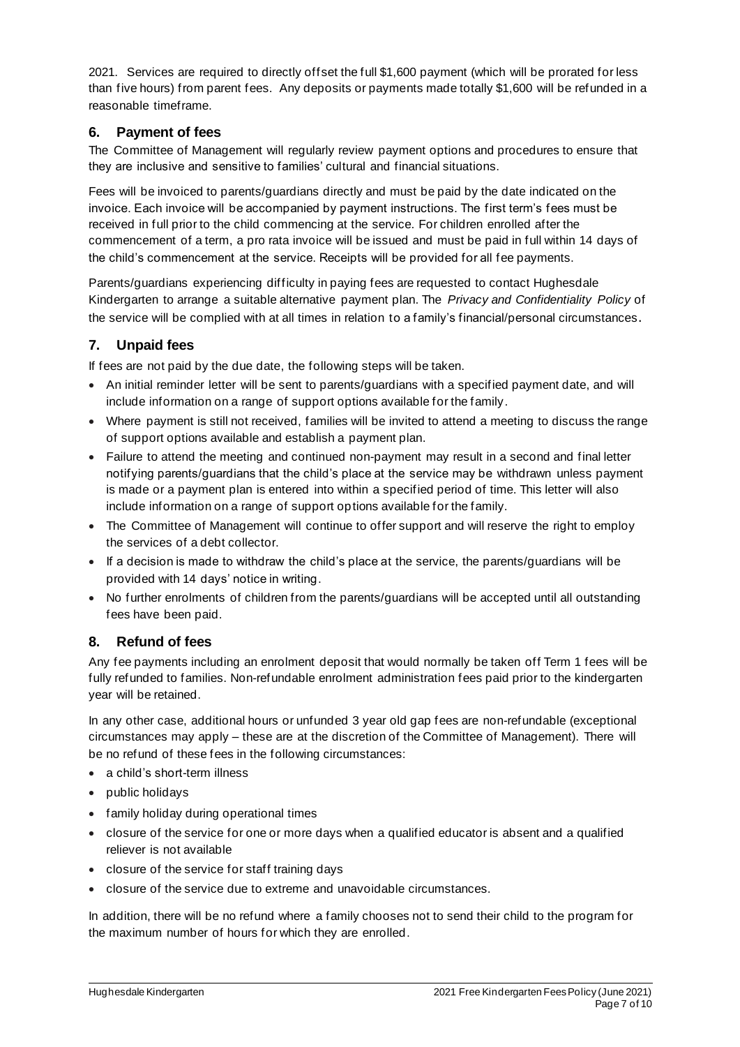2021. Services are required to directly offset the full \$1,600 payment (which will be prorated for less than five hours) from parent fees. Any deposits or payments made totally \$1,600 will be refunded in a reasonable timeframe.

### **6. Payment of fees**

The Committee of Management will regularly review payment options and procedures to ensure that they are inclusive and sensitive to families' cultural and financial situations.

Fees will be invoiced to parents/guardians directly and must be paid by the date indicated on the invoice. Each invoice will be accompanied by payment instructions. The first term's fees must be received in full prior to the child commencing at the service. For children enrolled after the commencement of a term, a pro rata invoice will be issued and must be paid in full within 14 days of the child's commencement at the service. Receipts will be provided for all fee payments.

Parents/guardians experiencing difficulty in paying fees are requested to contact Hughesdale Kindergarten to arrange a suitable alternative payment plan. The *Privacy and Confidentiality Policy* of the service will be complied with at all times in relation to a family's financial/personal circumstances.

### **7. Unpaid fees**

If fees are not paid by the due date, the following steps will be taken.

- An initial reminder letter will be sent to parents/guardians with a specified payment date, and will include information on a range of support options available for the family.
- Where payment is still not received, families will be invited to attend a meeting to discuss the range of support options available and establish a payment plan.
- Failure to attend the meeting and continued non-payment may result in a second and final letter notifying parents/guardians that the child's place at the service may be withdrawn unless payment is made or a payment plan is entered into within a specified period of time. This letter will also include information on a range of support options available for the family.
- The Committee of Management will continue to offer support and will reserve the right to employ the services of a debt collector.
- If a decision is made to withdraw the child's place at the service, the parents/guardians will be provided with 14 days' notice in writing.
- No further enrolments of children from the parents/guardians will be accepted until all outstanding fees have been paid.

## **8. Refund of fees**

Any fee payments including an enrolment deposit that would normally be taken off Term 1 fees will be fully refunded to families. Non-refundable enrolment administration fees paid prior to the kindergarten year will be retained.

In any other case, additional hours or unfunded 3 year old gap fees are non-refundable (exceptional circumstances may apply – these are at the discretion of the Committee of Management). There will be no refund of these fees in the following circumstances:

- a child's short-term illness
- public holidays
- family holiday during operational times
- closure of the service for one or more days when a qualified educator is absent and a qualified reliever is not available
- closure of the service for staff training days
- closure of the service due to extreme and unavoidable circumstances.

In addition, there will be no refund where a family chooses not to send their child to the program for the maximum number of hours for which they are enrolled.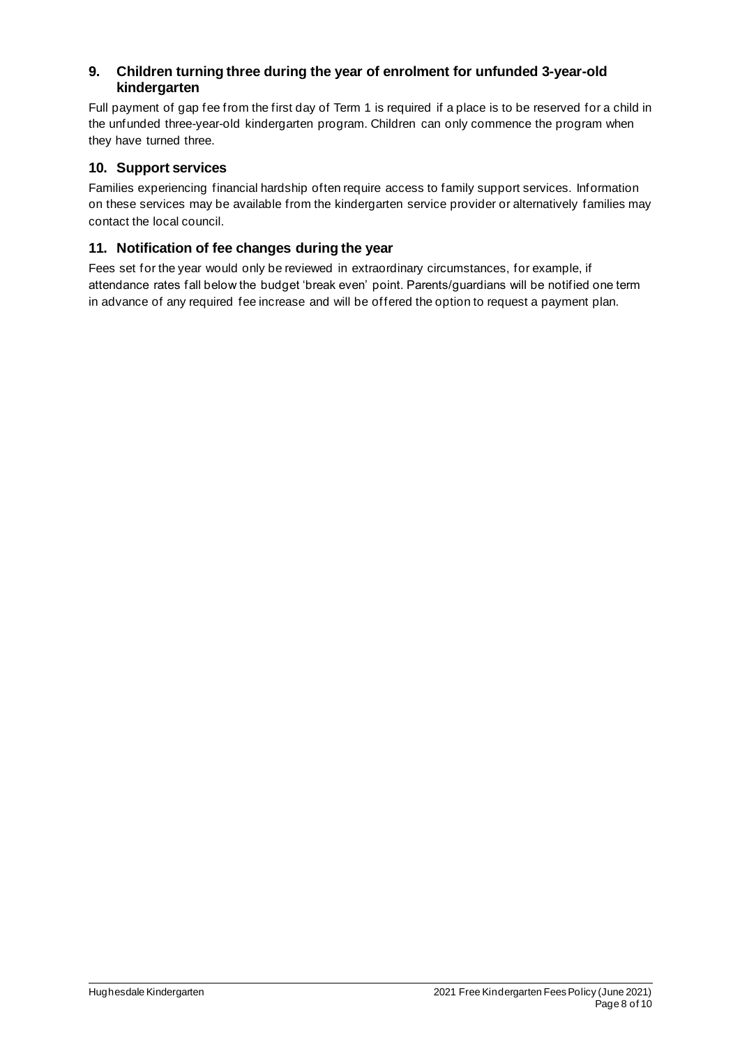### **9. Children turning three during the year of enrolment for unfunded 3-year-old kindergarten**

Full payment of gap fee from the first day of Term 1 is required if a place is to be reserved for a child in the unfunded three-year-old kindergarten program. Children can only commence the program when they have turned three.

### **10. Support services**

Families experiencing financial hardship often require access to family support services. Information on these services may be available from the kindergarten service provider or alternatively families may contact the local council.

## **11. Notification of fee changes during the year**

Fees set for the year would only be reviewed in extraordinary circumstances, for example, if attendance rates fall below the budget 'break even' point. Parents/guardians will be notified one term in advance of any required fee increase and will be offered the option to request a payment plan.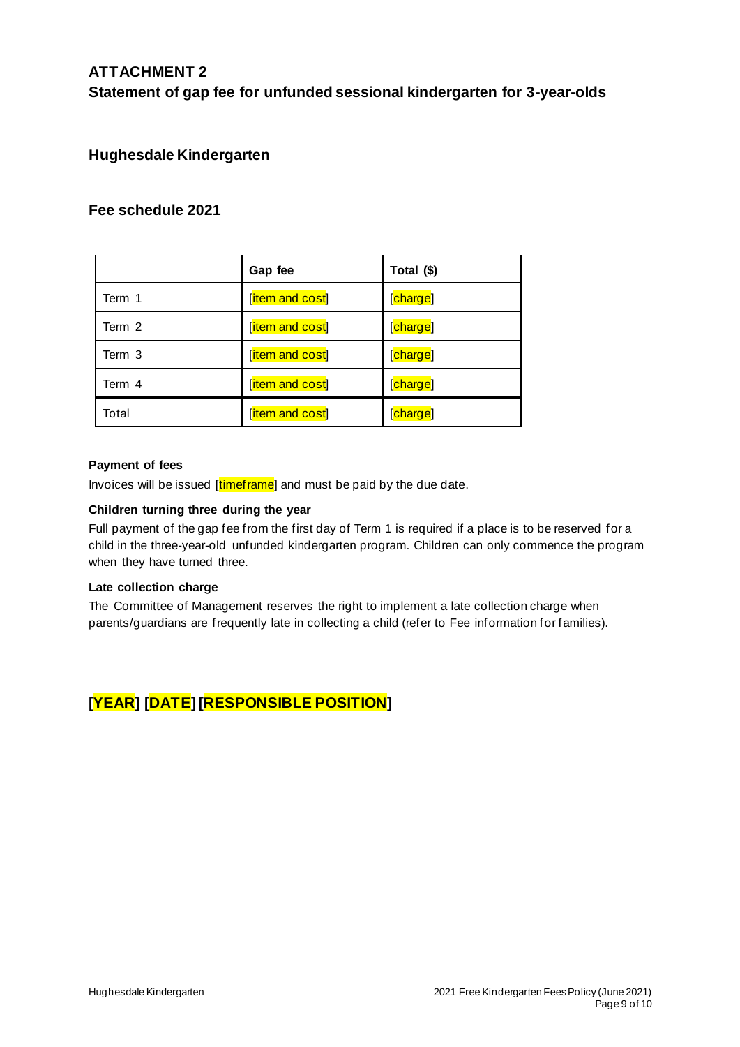## **ATTACHMENT 2 Statement of gap fee for unfunded sessional kindergarten for 3-year-olds**

## **Hughesdale Kindergarten**

## **Fee schedule 2021**

|        | Gap fee         | Total (\$) |
|--------|-----------------|------------|
| Term 1 | [item and cost] | [charge]   |
| Term 2 | [item and cost] | [charge]   |
| Term 3 | [item and cost] | [charge]   |
| Term 4 | [item and cost] | [charge]   |
| Total  | [item and cost] | [charge]   |

#### **Payment of fees**

Invoices will be issued [timeframe] and must be paid by the due date.

#### **Children turning three during the year**

Full payment of the gap fee from the first day of Term 1 is required if a place is to be reserved for a child in the three-year-old unfunded kindergarten program. Children can only commence the program when they have turned three.

#### **Late collection charge**

The Committee of Management reserves the right to implement a late collection charge when parents/guardians are frequently late in collecting a child (refer to Fee information for families).

# **[YEAR] [DATE] [RESPONSIBLE POSITION]**